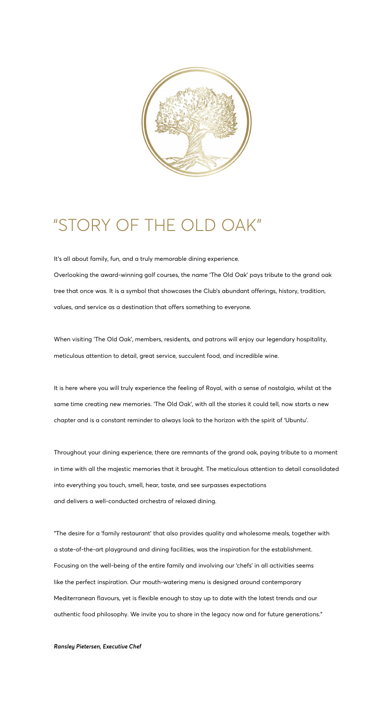

# "STORY OF THE OLD OAK"

It's all about family, fun, and a truly memorable dining experience.

Overlooking the award-winning golf courses, the name 'The Old Oak' pays tribute to the grand oak tree that once was. It is a symbol that showcases the Club's abundant offerings, history, tradition, values, and service as a destination that offers something to everyone.

When visiting 'The Old Oak', members, residents, and patrons will enjoy our legendary hospitality, meticulous attention to detail, great service, succulent food, and incredible wine.

It is here where you will truly experience the feeling of Royal, with a sense of nostalgia, whilst at the same time creating new memories. 'The Old Oak', with all the stories it could tell, now starts a new chapter and is a constant reminder to always look to the horizon with the spirit of 'Ubuntu'.

Throughout your dining experience, there are remnants of the grand oak, paying tribute to a moment in time with all the majestic memories that it brought. The meticulous attention to detail consolidated into everything you touch, smell, hear, taste, and see surpasses expectations and delivers a well-conducted orchestra of relaxed dining.

"The desire for a 'family restaurant' that also provides quality and wholesome meals, together with a state-of-the-art playground and dining facilities, was the inspiration for the establishment. Focusing on the well-being of the entire family and involving our 'chefs' in all activities seems like the perfect inspiration. Our mouth-watering menu is designed around contemporary Mediterranean flavours, yet is flexible enough to stay up to date with the latest trends and our authentic food philosophy. We invite you to share in the legacy now and for future generations."

*Ransley Pietersen, Executive Chef*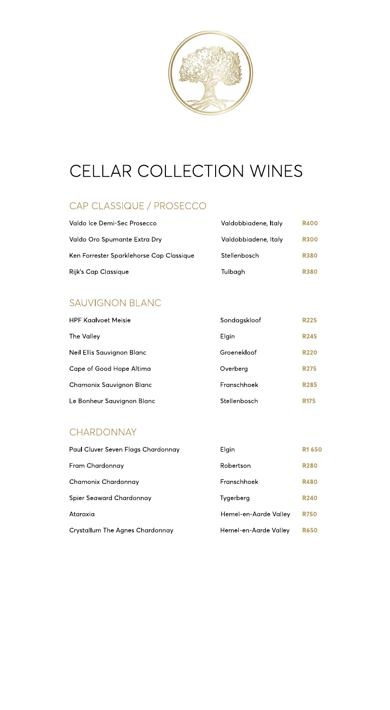

# CELLAR COLLECTION WINES

## CAP CLASSIQUE / PROSECCO

| Valdo Ice Demi-Sec Prosecco              | Valdobbiadene, Italy | <b>R400</b> |
|------------------------------------------|----------------------|-------------|
| Valdo Oro Spumante Extra Dry             | Valdobbiadene, Italy | <b>R300</b> |
| Ken Forrester Sparklehorse Cap Classique | Stellenbosch         | <b>R380</b> |
| Rijk's Cap Classique                     | Tulbagh              | <b>R380</b> |

#### SAUVIGNON BLANC

| <b>HPF Kaalvoet Meisie</b> | Sondagskloof | <b>R225</b> |
|----------------------------|--------------|-------------|
| The Valley                 | Elgin        | <b>R245</b> |
| Neil Ellis Sauvignon Blanc | Groenekloof  | <b>R220</b> |
| Cape of Good Hope Altima   | Overberg     | <b>R275</b> |
| Chamonix Sauvignon Blanc   | Franschhoek  | <b>R285</b> |
| Le Bonheur Sauvignon Blanc | Stellenbosch | <b>R175</b> |

#### CHARDONNAY

| Paul Cluver Seven Flags Chardonnay     | Elgin                 | <b>R1 650</b> |
|----------------------------------------|-----------------------|---------------|
| Fram Chardonnay                        | Robertson             | <b>R280</b>   |
| Chamonix Chardonnay                    | Franschhoek           | <b>R480</b>   |
| Spier Seaward Chardonnay               | Tygerberg             | <b>R240</b>   |
| Ataraxia                               | Hemel-en-Aarde Valley | <b>R750</b>   |
| <b>Crystallum The Agnes Chardonnay</b> | Hemel-en-Aarde Valley | <b>R650</b>   |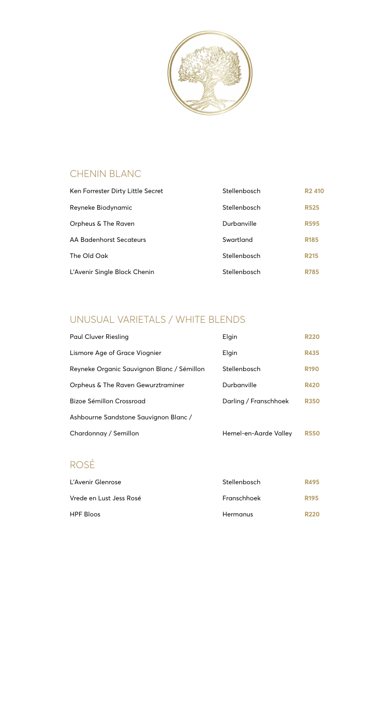

# CHENIN BLANC

| Ken Forrester Dirty Little Secret | Stellenbosch | <b>R2410</b> |
|-----------------------------------|--------------|--------------|
| Reyneke Biodynamic                | Stellenbosch | <b>R525</b>  |
| Orpheus & The Raven               | Durbanville  | <b>R595</b>  |
| AA Badenhorst Secateurs           | Swartland    | <b>R185</b>  |
| The Old Oak                       | Stellenbosch | <b>R215</b>  |
| L'Avenir Single Block Chenin      | Stellenbosch | <b>R785</b>  |

# UNUSUAL VARIETALS / WHITE BLENDS

| Paul Cluver Riesling                       | Elgin                 | <b>R220</b> |
|--------------------------------------------|-----------------------|-------------|
| Lismore Age of Grace Viognier              | Elgin                 | <b>R435</b> |
| Reyneke Organic Sauvignon Blanc / Sémillon | Stellenbosch          | <b>R190</b> |
| Orpheus & The Raven Gewurztraminer         | Durbanville           | <b>R420</b> |
| Bizoe Sémillon Crossroad                   | Darling / Franschhoek | <b>R350</b> |
| Ashbourne Sandstone Sauvignon Blanc/       |                       |             |
| Chardonnay / Semillon                      | Hemel-en-Aarde Valley | <b>R550</b> |

# ROSÉ

| L'Avenir Glenrose       | Stellenbosch | R495             |
|-------------------------|--------------|------------------|
| Vrede en Lust Jess Rosé | Franschhoek  | R <sub>195</sub> |
| <b>HPF Bloos</b>        | Hermanus     | <b>R220</b>      |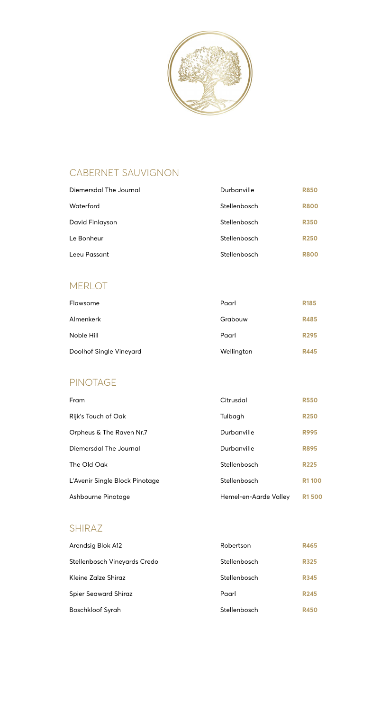

# CABERNET SAUVIGNON

| Diemersdal The Journal | Durbanville  | <b>R850</b> |
|------------------------|--------------|-------------|
| Waterford              | Stellenbosch | <b>R800</b> |
| David Finlayson        | Stellenbosch | <b>R350</b> |
| Le Bonheur             | Stellenbosch | <b>R250</b> |
| Leeu Passant           | Stellenbosch | <b>R800</b> |

#### MERLOT

| Flawsome                | Paarl      | <b>R185</b> |
|-------------------------|------------|-------------|
| Almenkerk               | Grabouw    | <b>R485</b> |
| Noble Hill              | Paarl      | <b>R295</b> |
| Doolhof Single Vineyard | Wellington | <b>R445</b> |

### PINOTAGE

| Fram                           | Citrusdal             | <b>R550</b>  |
|--------------------------------|-----------------------|--------------|
| Rijk's Touch of Oak            | Tulbagh               | <b>R250</b>  |
| Orpheus & The Raven Nr.7       | Durbanville           | <b>R995</b>  |
| Diemersdal The Journal         | Durbanville           | <b>R895</b>  |
| The Old Oak                    | Stellenbosch          | <b>R225</b>  |
| L'Avenir Single Block Pinotage | Stellenbosch          | <b>R1100</b> |
| Ashbourne Pinotage             | Hemel-en-Aarde Valley | <b>R1500</b> |

## SHIRAZ

| Arendsig Blok A12            | Robertson    | <b>R465</b> |
|------------------------------|--------------|-------------|
| Stellenbosch Vineyards Credo | Stellenbosch | <b>R325</b> |
| Kleine Zalze Shiraz          | Stellenbosch | <b>R345</b> |
| <b>Spier Seaward Shiraz</b>  | Paarl        | <b>R245</b> |
| <b>Boschkloof Syrah</b>      | Stellenbosch | <b>R450</b> |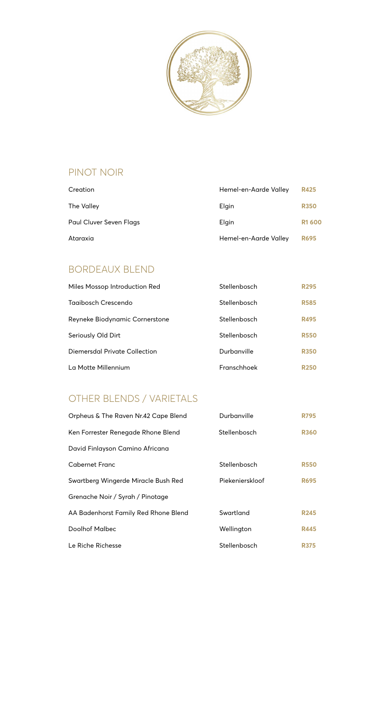

# PINOT NOIR

| Creation                | Hemel-en-Aarde Valley | <b>R425</b>   |
|-------------------------|-----------------------|---------------|
| The Valley              | Elgin                 | <b>R350</b>   |
| Paul Cluver Seven Flags | Elgin                 | <b>R1 600</b> |
| Ataraxia                | Hemel-en-Aarde Valley | <b>R695</b>   |

# BORDEAUX BLEND

| Miles Mossop Introduction Red  | Stellenbosch | <b>R295</b> |
|--------------------------------|--------------|-------------|
| Tagibosch Crescendo            | Stellenbosch | <b>R585</b> |
| Reyneke Biodynamic Cornerstone | Stellenbosch | <b>R495</b> |
| Seriously Old Dirt             | Stellenbosch | <b>R550</b> |
| Diemersdal Private Collection  | Durbanville  | <b>R350</b> |
| La Motte Millennium            | Franschhoek  | <b>R250</b> |

## OTHER BLENDS / VARIETALS

| Orpheus & The Raven Nr.42 Cape Blend | Durbanville     | <b>R795</b> |
|--------------------------------------|-----------------|-------------|
| Ken Forrester Renegade Rhone Blend   | Stellenbosch    | <b>R360</b> |
| David Finlayson Camino Africana      |                 |             |
| <b>Cabernet Franc</b>                | Stellenbosch    | <b>R550</b> |
| Swartberg Wingerde Miracle Bush Red  | Piekenierskloof | <b>R695</b> |
| Grenache Noir / Syrah / Pinotage     |                 |             |
| AA Badenhorst Family Red Rhone Blend | Swartland       | <b>R245</b> |
| Doolhof Malbec                       | Wellington      | <b>R445</b> |
| Le Riche Richesse                    | Stellenbosch    | R375        |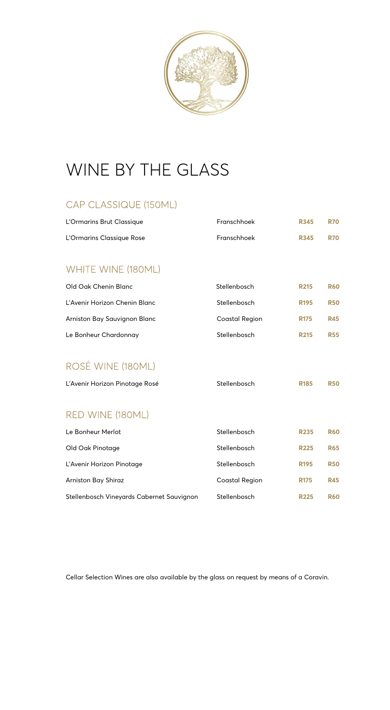

# WINE BY THE GLASS

# CAP CLASSIQUE (150ML)

| L'Ormarins Brut Classique                 | Franschhoek           | <b>R345</b>      | <b>R70</b> |
|-------------------------------------------|-----------------------|------------------|------------|
| L'Ormarins Classique Rose                 | Franschhoek           | <b>R345</b>      | <b>R70</b> |
|                                           |                       |                  |            |
| WHITE WINE (180ML)                        |                       |                  |            |
| Old Oak Chenin Blanc                      | Stellenbosch          | R <sub>215</sub> | <b>R60</b> |
| L'Avenir Horizon Chenin Blanc             | Stellenbosch          | R <sub>195</sub> | <b>R50</b> |
| Arniston Bay Sauvignon Blanc              | <b>Coastal Region</b> | <b>R175</b>      | <b>R45</b> |
| Le Bonheur Chardonnay                     | Stellenbosch          | <b>R215</b>      | <b>R55</b> |
|                                           |                       |                  |            |
| ROSÉ WINE (180ML)                         |                       |                  |            |
| L'Avenir Horizon Pinotage Rosé            | Stellenbosch          | <b>R185</b>      | <b>R50</b> |
|                                           |                       |                  |            |
| RED WINE (180ML)                          |                       |                  |            |
| Le Bonheur Merlot                         | Stellenbosch          | <b>R235</b>      | <b>R60</b> |
| Old Oak Pinotage                          | Stellenbosch          | <b>R225</b>      | <b>R65</b> |
| L'Avenir Horizon Pinotage                 | Stellenbosch          | <b>R195</b>      | <b>R50</b> |
| Arniston Bay Shiraz                       | <b>Coastal Region</b> | <b>R175</b>      | <b>R45</b> |
| Stellenbosch Vineyards Cabernet Sauvignon | Stellenbosch          | <b>R225</b>      | <b>R60</b> |

Cellar Selection Wines are also available by the glass on request by means of a Coravin.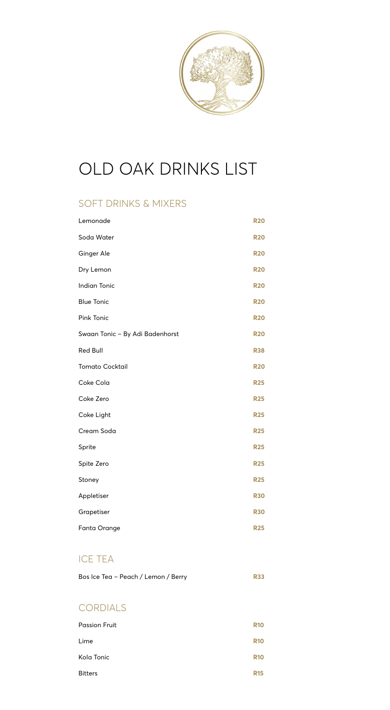

# OLD OAK DRINKS LIST

### SOFT DRINKS & MIXERS

| Lemonade                        | <b>R20</b> |
|---------------------------------|------------|
| Soda Water                      | <b>R20</b> |
| Ginger Ale                      | <b>R20</b> |
| Dry Lemon                       | <b>R20</b> |
| <b>Indian Tonic</b>             | <b>R20</b> |
| <b>Blue Tonic</b>               | <b>R20</b> |
| <b>Pink Tonic</b>               | <b>R20</b> |
| Swaan Tonic - By Adi Badenhorst | <b>R20</b> |
| Red Bull                        | <b>R38</b> |
| <b>Tomato Cocktail</b>          | <b>R20</b> |
| Coke Cola                       | <b>R25</b> |
| Coke Zero                       | <b>R25</b> |
| Coke Light                      | <b>R25</b> |
| Cream Soda                      | <b>R25</b> |
| Sprite                          | <b>R25</b> |
| Spite Zero                      | <b>R25</b> |
| Stoney                          | <b>R25</b> |
| Appletiser                      | <b>R30</b> |
| Grapetiser                      | <b>R30</b> |
| Fanta Orange                    | <b>R25</b> |

#### ICE TEA

| Bos Ice Tea - Peach / Lemon / Berry | <b>R33</b> |
|-------------------------------------|------------|
|-------------------------------------|------------|

# CORDIALS

| Passion Fruit  | <b>R10</b> |
|----------------|------------|
| Lime           | <b>R10</b> |
| Kola Tonic     | <b>R10</b> |
| <b>Bitters</b> | <b>R15</b> |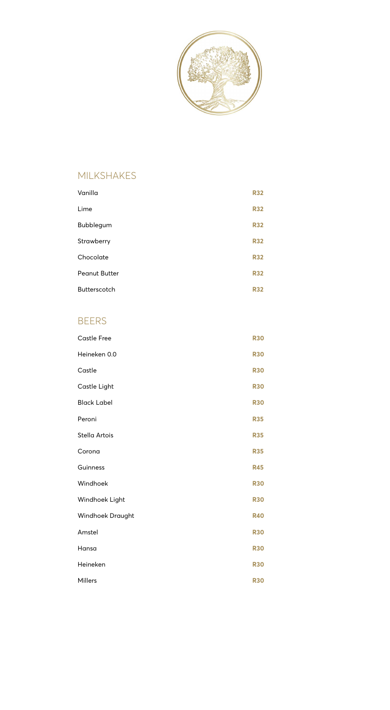

## MILKSHAKES

| Vanilla              | <b>R32</b> |
|----------------------|------------|
| Lime                 | <b>R32</b> |
| Bubblegum            | <b>R32</b> |
| Strawberry           | <b>R32</b> |
| Chocolate            | <b>R32</b> |
| <b>Peanut Butter</b> | <b>R32</b> |
| Butterscotch         | <b>R32</b> |

#### BEERS

| <b>Castle Free</b> | <b>R30</b> |
|--------------------|------------|
| Heineken 0.0       | <b>R30</b> |
| Castle             | <b>R30</b> |
| Castle Light       | <b>R30</b> |
| <b>Black Label</b> | <b>R30</b> |
| Peroni             | <b>R35</b> |
| Stella Artois      | <b>R35</b> |
| Corona             | <b>R35</b> |
| Guinness           | <b>R45</b> |
| Windhoek           | <b>R30</b> |
| Windhoek Light     | <b>R30</b> |
| Windhoek Draught   | <b>R40</b> |
| Amstel             | <b>R30</b> |
| Hansa              | <b>R30</b> |
| Heineken           | <b>R30</b> |
| Millers            | <b>R30</b> |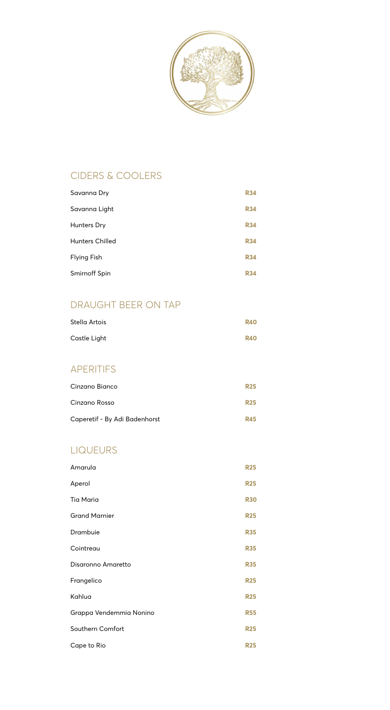

# CIDERS & COOLERS

| Savanna Dry            | <b>R34</b> |
|------------------------|------------|
| Savanna Light          | <b>R34</b> |
| Hunters Dry            | <b>R34</b> |
| <b>Hunters Chilled</b> | <b>R34</b> |
| <b>Flying Fish</b>     | <b>R34</b> |
| Smirnoff Spin          | <b>R34</b> |

## DRAUGHT BEER ON TAP

| Stella Artois | <b>R40</b> |
|---------------|------------|
| Castle Light  | <b>R40</b> |

# APERITIFS

| Cinzano Bianco                | <b>R25</b> |
|-------------------------------|------------|
| Cinzano Rosso                 | <b>R25</b> |
| Caperetif - By Adi Badenhorst | <b>R45</b> |

# LIQUEURS

| Amarula                 | <b>R25</b> |
|-------------------------|------------|
| Aperol                  | <b>R25</b> |
| <b>Tia Maria</b>        | <b>R30</b> |
| <b>Grand Marnier</b>    | <b>R25</b> |
| Drambuie                | <b>R35</b> |
| Cointreau               | <b>R35</b> |
| Disaronno Amaretto      | <b>R35</b> |
| Frangelico              | <b>R25</b> |
| Kahlua                  | <b>R25</b> |
| Grappa Vendemmia Nonino | <b>R55</b> |
| Southern Comfort        | <b>R25</b> |
| Cape to Rio             | <b>R25</b> |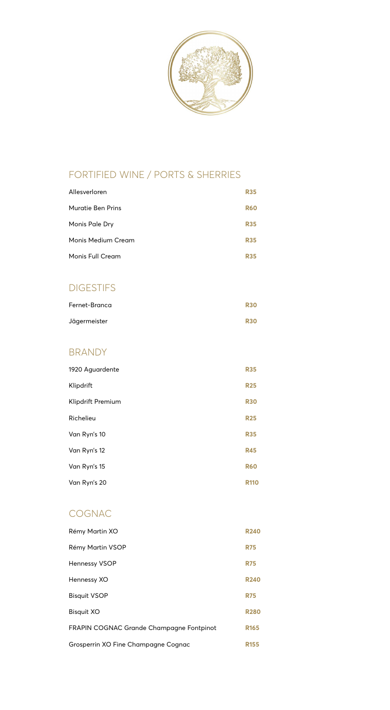

# FORTIFIED WINE / PORTS & SHERRIES

| Allesverloren      | <b>R35</b> |
|--------------------|------------|
| Muratie Ben Prins  | <b>R60</b> |
| Monis Pale Dry     | <b>R35</b> |
| Monis Medium Cream | <b>R35</b> |
| Monis Full Cream   | <b>R35</b> |
|                    |            |

#### DIGESTIFS

| Fernet-Branca | <b>R30</b> |
|---------------|------------|
| Jägermeister  | <b>R30</b> |

#### BRANDY

| 1920 Aguardente   | <b>R35</b>  |
|-------------------|-------------|
| Klipdrift         | <b>R25</b>  |
| Klipdrift Premium | <b>R30</b>  |
| Richelieu         | <b>R25</b>  |
| Van Ryn's 10      | <b>R35</b>  |
| Van Ryn's 12      | <b>R45</b>  |
| Van Ryn's 15      | <b>R60</b>  |
| Van Ryn's 20      | <b>R110</b> |

# COGNAC

| Rémy Martin XO                                  | <b>R240</b>      |
|-------------------------------------------------|------------------|
| Rémy Martin VSOP                                | <b>R75</b>       |
| <b>Hennessy VSOP</b>                            | <b>R75</b>       |
| Hennessy XO                                     | <b>R240</b>      |
| <b>Bisquit VSOP</b>                             | <b>R75</b>       |
| <b>Bisquit XO</b>                               | <b>R280</b>      |
| <b>FRAPIN COGNAC Grande Champagne Fontpinot</b> | R <sub>165</sub> |
| Grosperrin XO Fine Champagne Cognac             | <b>R155</b>      |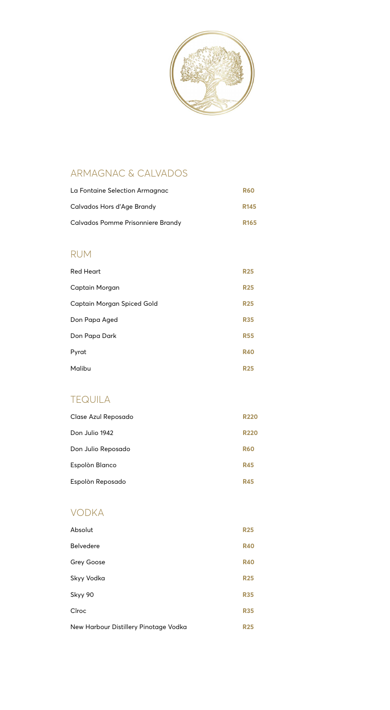

# ARMAGNAC & CALVADOS

| La Fontaine Selection Armagnac    | <b>R60</b>       |
|-----------------------------------|------------------|
| Calvados Hors d'Age Brandy        | R <sub>145</sub> |
| Calvados Pomme Prisonniere Brandy | R <sub>165</sub> |

#### RUM

| <b>Red Heart</b>           | <b>R25</b> |
|----------------------------|------------|
| Captain Morgan             | <b>R25</b> |
| Captain Morgan Spiced Gold | <b>R25</b> |
| Don Papa Aged              | <b>R35</b> |
| Don Papa Dark              | <b>R55</b> |
| Pyrat                      | <b>R40</b> |
| Malibu                     | <b>R25</b> |

#### TEQUILA

| Clase Azul Reposado | <b>R220</b> |
|---------------------|-------------|
| Don Julio 1942      | <b>R220</b> |
| Don Julio Reposado  | <b>R60</b>  |
| Espolòn Blanco      | <b>R45</b>  |
| Espolòn Reposado    | <b>R45</b>  |

#### VODKA

| Absolut                               | <b>R25</b> |
|---------------------------------------|------------|
| <b>Belvedere</b>                      | <b>R40</b> |
| <b>Grey Goose</b>                     | <b>R40</b> |
| Skyy Vodka                            | <b>R25</b> |
| Skyy 90                               | <b>R35</b> |
| Cîroc                                 | <b>R35</b> |
| New Harbour Distillery Pinotage Vodka | <b>R25</b> |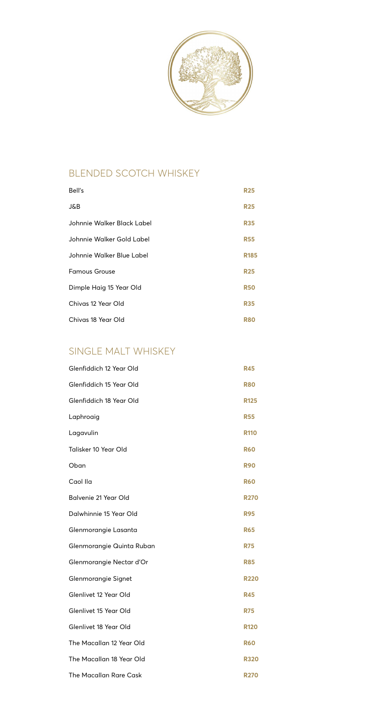

# BLENDED SCOTCH WHISKEY

| Bell's                     | <b>R25</b>  |
|----------------------------|-------------|
| J&B                        | <b>R25</b>  |
| Johnnie Walker Black Label | <b>R35</b>  |
| Johnnie Walker Gold Label  | <b>R55</b>  |
| Johnnie Walker Blue Label  | <b>R185</b> |
| <b>Famous Grouse</b>       | <b>R25</b>  |
| Dimple Haig 15 Year Old    | <b>R50</b>  |
| Chivas 12 Year Old         | <b>R35</b>  |
| Chivas 18 Year Old         | R80         |

### SINGLE MALT WHISKEY

| Glenfiddich 12 Year Old   | <b>R45</b>  |
|---------------------------|-------------|
| Glenfiddich 15 Year Old   | <b>R80</b>  |
| Glenfiddich 18 Year Old   | <b>R125</b> |
| Laphroaig                 | <b>R55</b>  |
| Lagavulin                 | <b>R110</b> |
| Talisker 10 Year Old      | <b>R60</b>  |
| Oban                      | <b>R90</b>  |
| Caol Ila                  | <b>R60</b>  |
| Balvenie 21 Year Old      | <b>R270</b> |
| Dalwhinnie 15 Year Old    | <b>R95</b>  |
| Glenmorangie Lasanta      | <b>R65</b>  |
| Glenmorangie Quinta Ruban | <b>R75</b>  |
| Glenmorangie Nectar d'Or  | <b>R85</b>  |
| Glenmorangie Signet       | <b>R220</b> |
| Glenlivet 12 Year Old     | <b>R45</b>  |
| Glenlivet 15 Year Old     | <b>R75</b>  |
| Glenlivet 18 Year Old     | <b>R120</b> |
| The Macallan 12 Year Old  | <b>R60</b>  |
| The Macallan 18 Year Old  | <b>R320</b> |
| The Macallan Rare Cask    | <b>R270</b> |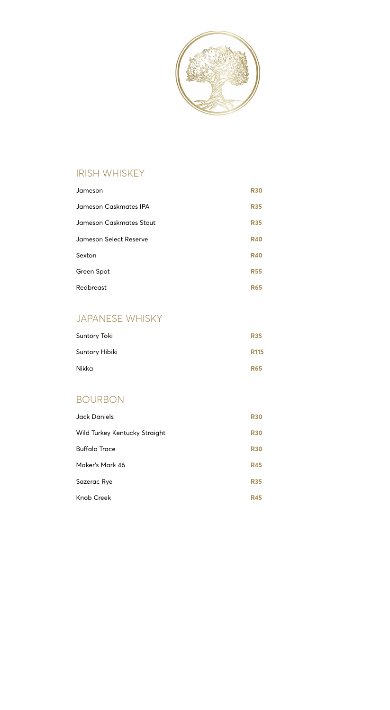

#### IRISH WHISKEY

| Jameson                 | <b>R30</b> |
|-------------------------|------------|
| Jameson Caskmates IPA   | <b>R35</b> |
| Jameson Caskmates Stout | <b>R35</b> |
| Jameson Select Reserve  | <b>R40</b> |
| Sexton                  | <b>R40</b> |
| Green Spot              | <b>R55</b> |
| Redbreast               | R65        |

# JAPANESE WHISKY

| Suntory Toki   | <b>R35</b>  |
|----------------|-------------|
| Suntory Hibiki | <b>R115</b> |
| Nikka          | <b>R65</b>  |

# BOURBON

| <b>Jack Daniels</b>           | <b>R30</b> |
|-------------------------------|------------|
| Wild Turkey Kentucky Straight | <b>R30</b> |
| <b>Buffalo Trace</b>          | <b>R30</b> |
| Maker's Mark 46               | <b>R45</b> |
| Sazerac Rye                   | <b>R35</b> |
| Knob Creek                    | <b>R45</b> |